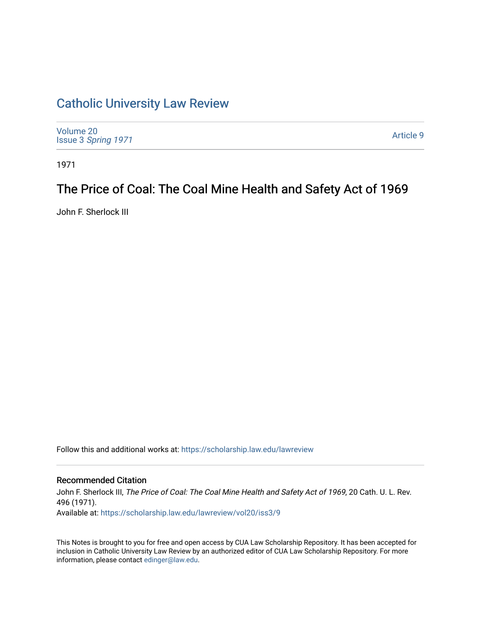# [Catholic University Law Review](https://scholarship.law.edu/lawreview)

| Volume 20<br>Issue 3 Spring 1971 | Article 9 |
|----------------------------------|-----------|
|                                  |           |

1971

# The Price of Coal: The Coal Mine Health and Safety Act of 1969

John F. Sherlock III

Follow this and additional works at: [https://scholarship.law.edu/lawreview](https://scholarship.law.edu/lawreview?utm_source=scholarship.law.edu%2Flawreview%2Fvol20%2Fiss3%2F9&utm_medium=PDF&utm_campaign=PDFCoverPages)

### Recommended Citation

John F. Sherlock III, The Price of Coal: The Coal Mine Health and Safety Act of 1969, 20 Cath. U. L. Rev. 496 (1971). Available at: [https://scholarship.law.edu/lawreview/vol20/iss3/9](https://scholarship.law.edu/lawreview/vol20/iss3/9?utm_source=scholarship.law.edu%2Flawreview%2Fvol20%2Fiss3%2F9&utm_medium=PDF&utm_campaign=PDFCoverPages)

This Notes is brought to you for free and open access by CUA Law Scholarship Repository. It has been accepted for inclusion in Catholic University Law Review by an authorized editor of CUA Law Scholarship Repository. For more information, please contact [edinger@law.edu.](mailto:edinger@law.edu)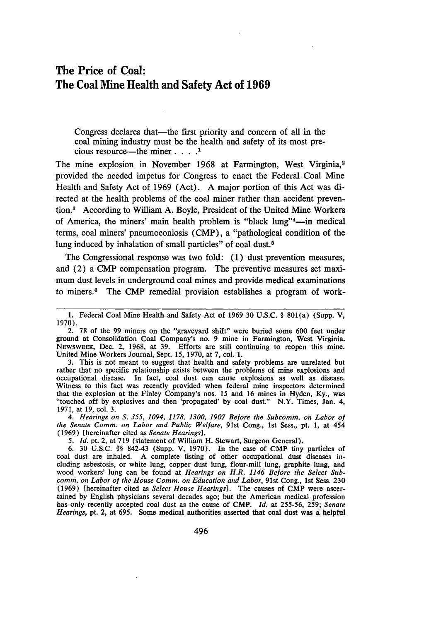## The Price of Coal: The Coal Mine Health and Safety Act of **1969**

Congress declares that—the first priority and concern of all in the coal mining industry must be the health and safety of its most precious resource-the miner. **.... 1**

The mine explosion in November 1968 at Farmington, West Virginia,<sup>2</sup> provided the needed impetus for Congress to enact the Federal Coal Mine Health and Safety Act of 1969 (Act). A major portion of this Act was directed at the health problems of the coal miner rather than accident prevention.3 According to William A. Boyle, President of the United Mine Workers of America, the miners' main health problem is "black lung"<sup>4</sup>—in medical terms, coal miners' pneumoconiosis (CMP), a "pathological condition of the lung induced by inhalation of small particles" of coal dust.<sup>5</sup>

The Congressional response was two fold: (1) dust prevention measures, and (2) a CMP compensation program. The preventive measures set maximum dust levels in underground coal mines and provide medical examinations to miners.<sup>6</sup> The CMP remedial provision establishes a program of work-

3. This is not meant to suggest that health and safety problems are unrelated but rather that no specific relationship exists between the problems of mine explosions and occupational disease. In fact, coal dust can cause explosions as well as disease. Witness to this fact was recently provided when federal mine inspectors determined that the explosion at the Finley Company's nos. 15 and 16 mines in Hyden, Ky., was "touched off by explosives and then 'propagated' by coal dust." N.Y. Times, Jan. 4, 1971, at 19, col. 3.

*4. Hearings on S. 355, 1094, 1178, 1300, 1907 Before the Subcomm. on Labor of the Senate Comm. on Labor and Public Welfare,* 91st Cong., 1st Sess., pt. 1, at 454 (1969) [hereinafter cited as *Senate Hearings].*

*5. Id.* pt. 2, at 719 (statement of William H. Stewart, Surgeon General).

6. 30 U.S.C. §§ 842-43 (Supp. V, 1970). In the case of CMP tiny particles of coal dust are inhaled. A complete listing of other occupational dust diseases including asbestosis, or white lung, copper dust lung, flour-mill lung, graphite lung, and wood workers' lung can be found at *Hearings on H.R. 1146 Before the Select Subcomm. on Labor of the House Comm. on Education and Labor,* 91st Cong., 1st Sess. **230** (1969) [hereinafter cited as *Select House Hearings].* The causes of CMP were ascer tained by English physicians several decades ago; but the American medical profession has only recently accepted coal dust as the cause of CMP. *Id.* at 255-56, 259; *Senate Hearings,* pt. 2, at **695.** Some medical authorities asserted that coal dust was a helpful

<sup>1.</sup> Federal Coal Mine Health and Safety Act of 1969 30 U.S.C. § 801(a) (Supp. V, 1970).

<sup>2. 78</sup> of the 99 miners on the "graveyard shift" were buried some 600 feet under ground at Consolidation Coal Company's no. 9 mine in Farmington, West Virginia. NEWSWEEK, Dec. 2, 1968, at 39. Efforts are still continuing to reopen this mine. United Mine Workers Journal, Sept. 15, 1970, at 7, col. 1.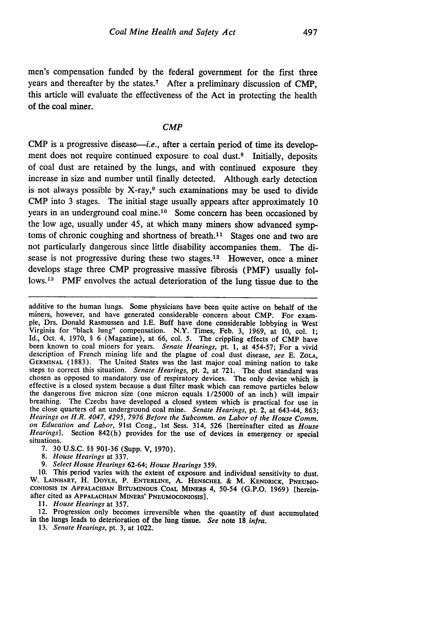men's compensation funded by the federal government for the first three years and thereafter by the states.7 After a preliminary discussion of CMP, this article will evaluate the effectiveness of the Act in protecting the health of the coal miner.

#### *CMP*

 $CMP$  is a progressive disease—*i.e.*, after a certain period of time its development does not require continued exposure to coal dust.<sup>8</sup> Initially, deposits of coal dust are retained by the lungs, and with continued exposure they increase in size and number until finally detected. Although early detection is not always possible by  $X$ -ray, $9$  such examinations may be used to divide CMP into 3 stages. The initial stage usually appears after approximately 10 years in an underground coal mine.<sup>10</sup> Some concern has been occasioned by the low age, usually under 45, at which many miners show advanced symptoms of chronic coughing and shortness of breath.<sup>11</sup> Stages one and two are not particularly dangerous since little disability accompanies them. The disease is not progressive during these two stages.<sup>12</sup> However, once a miner develops stage three CMP progressive massive fibrosis (PMF) usually follows.<sup>13</sup> PMF envolves the actual deterioration of the lung tissue due to the

additive to the human lungs. Some physicians have been quite active on behalf of the miners, however, and have generated considerable concern about CMP. For example, Drs. Donald Rasmussen and I.E. Buff have done considerable lobbying in West Virginia for "black lung" compensation. N.Y. Times, Feb. 3, 1969, at 10, col. 1; Id., Oct. 4, 1970, § 6 (Magazine), at 66, col. 5. The crippling effects of CMP have been known to coal miners for years. *Senate Hearings,* pt. 1, at 454-57; For a vivid description of French mining life and the plague of coal dust disease, *see* E. **ZOLA,** GERMINAL (1883). The United States was the last major coal mining nation to take steps to correct this situation. Senate Hearings, pt. 2, at 721. The dust standard was chosen as opposed to mandatory use of respiratory devices. The only device which is effective is a closed system because a dust filter mask which can remove particles below the dangerous five micron size (one micron equals 1/25000 of an inch) will impair breathing. The Czechs have developed a closed system which is practical for use in the close quarters of an underground coal mine. *Senate Hearings,* pt. 2, at 643-44, 863; *Hearings on H.R. 4047, 4295, 7976 Before the Subcomm. on Labor of the House Comm. on Education and Labor,* 91st Cong., 1st Sess. 314, 526 [hereinafter cited as *House Hearings].* Section 842(h) provides for the use of devices in emergency or special situations.

7. 30 U.S.C. §§ 901-36 (Supp. V, 1970).

*8. House Hearings* at 337.

*9. Select House Hearings* 62-64; *House Hearings 359.*

10. This period varies with the extent of exposure and individual sensitivity to dust. W. **LAINHART,** H. **DOYLE,** P. **ENTERLINE, A. HENSCHEL** & M. **KENDRICK, PNEUMO-CONIOSIS IN APPALACHIAN** BITUMINOUS **COAL MINERS** 4, 50-54 **(G.P.O.** 1969) [hereinafter **cited** as **APPALACHIAN MINERS' PNEUMOCONIOSIS].**

*11. House Hearings* at 357.

12. Progression only becomes irreversible when the quantity of dust accumulated in the lungs leads to deterioration of the lung tissue. *See* note **18** *infra.*

**13.** *Senate Hearings,* pt. 3, at 1022.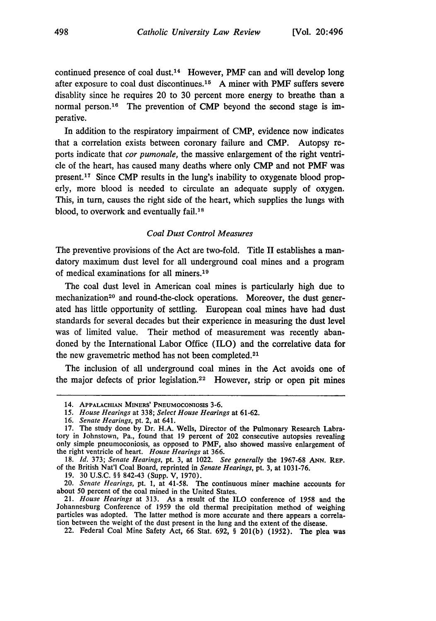continued presence of coal dust.14 However, PMF can and will develop long after exposure to coal dust discontinues.<sup>15</sup> A miner with PMF suffers severe disablity since he requires 20 to 30 percent more energy to breathe than a normal person.<sup>16</sup> The prevention of CMP beyond the second stage is imperative.

In addition to the respiratory impairment of CMP, evidence now indicates that a correlation exists between coronary failure and CMP. Autopsy reports indicate that *cor pumonale,* the massive enlargement of the right ventricle of the heart, has caused many deaths where only CMP and not PMF was present. 17 Since CMP results in the lung's inability to oxygenate blood properly, more blood is needed to circulate an adequate supply of oxygen. This, in turn, causes the right side of the heart, which supplies the lungs with blood, to overwork and eventually fail.<sup>18</sup>

#### *Coal Dust Control Measures*

The preventive provisions of the Act are two-fold. Title II establishes a mandatory maximum dust level for all underground coal mines and a program of medical examinations for all miners.<sup>19</sup>

The coal dust level in American coal mines is particularly high due to mechanization<sup>20</sup> and round-the-clock operations. Moreover, the dust generated has little opportunity of settling. European coal mines have had dust standards for several decades but their experience in measuring the dust level was of limited value. Their method of measurement was recently abandoned by the International Labor Office (ILO) and the correlative data for the new gravemetric method has not been completed.<sup>21</sup>

The inclusion of all underground coal mines in the Act avoids one of the major defects of prior legislation.<sup>22</sup> However, strip or open pit mines

<sup>14.</sup> APPALACHIAN MINERS' PNEUMOCONIOSIS 3-6.

*<sup>15.</sup> House Hearings* at 338; *Select House Hearings* at 61-62.

<sup>16.</sup> *Senate Hearings,* pt. 2, at 641.

<sup>17.</sup> The study done by Dr. H.A. Wells, Director of the Pulmonary Research Labratory in Johnstown, Pa., found that 19 percent of 202 consecutive autopsies revealing only simple pneumoconiosis, as opposed to PMF, also showed massive enlargement of the right ventricle of heart. *House Hearings* at 366.

<sup>18.</sup> *Id.* 373; *Senate Hearings,* pt. 3, at 1022. *See generally* the 1967-68 ANN. REP. of the British Nat'l Coal Board, reprinted in *Senate Hearings,* pt. 3, at 1031-76.

<sup>19. 30</sup> U.S.C. §§ 842-43 (Supp. V, 1970).

<sup>20.</sup> *Senate Hearings,* pt. 1, at 41-58. The continuous miner machine accounts for about 50 percent of the coal mined in the United States.

<sup>21.</sup> *House Hearings* at 313. As a result of the ILO conference of 1958 and the Johannesburg Conference of 1959 the old thermal precipitation method of weighing particles was adopted. The latter method is more accurate and there appears a correlation between the weight of the dust present in the lung and the extent of the disease.

<sup>22.</sup> Federal Coal Mine Safety Act, 66 Stat. 692, § 201(b) (1952). The plea was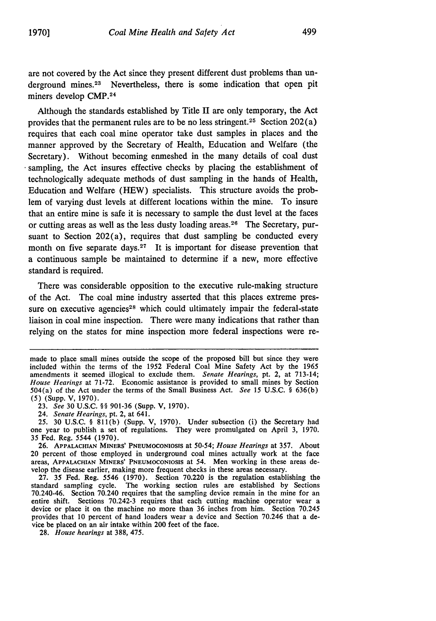are not covered by the Act since they present different dust problems than underground mines.<sup>23</sup> Nevertheless, there is some indication that open pit miners develop CMP. <sup>24</sup>

Although the standards established by Title II are only temporary, the Act provides that the permanent rules are to be no less stringent.<sup>25</sup> Section 202(a) requires that each coal mine operator take dust samples in places and the manner approved by the Secretary of Health, Education and Welfare (the Secretary). Without becoming enmeshed in the many details of coal dust sampling, the Act insures effective checks by placing the establishment of technologically adequate methods of dust sampling in the hands of Health, Education and Welfare (HEW) specialists. This structure avoids the problem of varying dust levels at different locations within the mine. To insure that an entire mine is safe it is necessary to sample the dust level at the faces or cutting areas as well as the less dusty loading areas.<sup>26</sup> The Secretary, pursuant to Section  $202(a)$ , requires that dust sampling be conducted every month on five separate days.<sup>27</sup> It is important for disease prevention that a continuous sample be maintained to determine if a new, more effective standard is required.

There was considerable opposition to the executive rule-making structure of the Act. The coal mine industry asserted that this places extreme pressure on executive agencies<sup>28</sup> which could ultimately impair the federal-state liaison in coal mine inspection. There were many indications that rather than relying on the states for mine inspection more federal inspections were re-

24. *Senate Hearings,* pt. 2, at 641.

25. 30 U.S.C. § 811(b) (Supp. V, 1970). Under subsection (i) the Secretary had one year to publish a set of regulations. They were promulgated on April 3, 1970. 35 Fed. Reg. 5544 (1970).

27. 35 Fed. Reg. 5546 (1970). Section 70.220 is the regulation establishing the standard sampling cycle. The working section rules are established by Sections 70.240-46. Section 70.240 requires that the sampling device remain in the mine for an entire shift. Sections 70.242-3 requires that each cutting machine operator wear a device or place it on the machine no more than 36 inches from him. Section 70.245 provides that 10 percent of hand loaders wear a device and Section 70.246 that a device be placed on an air intake within 200 feet of the face.

28. *House hearings* at 388, 475.

made to place small mines outside the scope of the proposed bill but since they were included within the terms of the 1952 Federal Coal Mine Safety Act by the 1965 amendments it seemed illogical to exclude them. *Senate Hearings,* pt. 2, at 713-14; *House Hearings* at 71-72. Economic assistance is provided to small mines by Section 504(a) of the Act under the terms of the Small Business Act. *See* 15 U.S.C. § 636(b) (5) (Supp. V, 1970).

<sup>23.</sup> *See* 30 U.S.C. §§ 901-36 (Supp. V, 1970).

<sup>26.</sup> **APPALACHIAN** MINERS' PNEUMOCoNIoSlS at *50-54; House Hearings* at 357. About 20 percent of those employed in underground coal mines actually work at the face areas, **APPALACHIAN** MINERS' PNEUMOCONIosiS **at** 54. Men working in these areas develop the disease earlier, making more frequent checks in these areas necessary.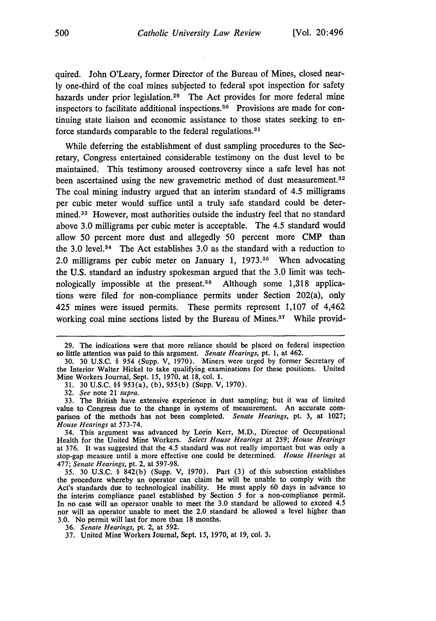quired. John O'Leary, former Director of the Bureau of Mines, closed nearly one-third of the coal mines subjected to federal spot inspection for safety hazards under prior legislation.<sup>29</sup> The Act provides for more federal mine inspectors to facilitate additional inspections.<sup>30</sup> Provisions are made for continuing state liaison and economic assistance to those states seeking to enforce standards comparable to the federal regulations.<sup>31</sup>

While deferring the establishment of dust sampling procedures to the Secretary, Congress entertained considerable testimony on the dust level to be maintained. This testimony aroused controversy since a safe level has not been ascertained using the new gravemetric method of dust measurement **. <sup>2</sup>** The coal mining industry argued that an interim standard of 4.5 milligrams per cubic meter would suffice until a truly safe standard could be determined.<sup>33</sup> However, most authorities outside the industry feel that no standard above 3.0 milligrams per cubic meter is acceptable. The 4.5 standard would allow 50 percent more dust and allegedly 50 percent more CMP than the 3.0 level.<sup>34</sup> The Act establishes 3.0 as the standard with a reduction to 2.0 milligrams per cubic meter on January 1, 1973.<sup>35</sup> When advocating the U.S. standard an industry spokesman argued that the 3.0 limit was technologically impossible at the present.<sup>36</sup> Although some  $1,318$  applications were filed for non-compliance permits under Section 202(a), only 425 mines were issued permits. These permits represent 1,107 of 4,462 working coal mine sections listed by the Bureau of Mines. $37$  While provid-

31. 30 U.S.C. §§ 953(a), (b), 955(b) (Supp. V, 1970).

<sup>29.</sup> The indications were that more reliance should be placed on federal inspection so little attention was paid to this argument. *Senate Hearings,* pt. 1, at 462.

<sup>30. 30</sup> U.S.C. § 954 (Supp. V, 1970). Miners were urged by former Secretary of the Interior Walter Hickel to take qualifying examinations for these positions. United Mine Workers Journal, Sept. 15, 1970, at 18, col. 1.

<sup>32.</sup> *See* note 21 *supra.*

<sup>33.</sup> The British have extensive experience in dust sampling; but it was of limited value to Congress due to the change in systems of measurement. An accurate comparison of the methods has not been completed. *Senate Hearings,* pt. 3, at 1027; *House Hearings* at 573-74.

<sup>34.</sup> This argument was advanced by Lorin Kerr, M.D., Director of Occupational Health for the United Mine Workers. *Select House Hearings* at 259; *House Hearings* at 376. It was suggested that the 4.5 standard was not really important but was only a stop-gap measure until a more effective one could be determined. *House Hearings* at 477; *Senate Hearings,* pt. 2, at 597-98.

**<sup>35.</sup>** 30 U.S.C. § 842(b) (Supp. V, 1970). Part (3) of this subsection establishes the procedure whereby an operator can claim he will be unable to comply with the Act's standards due to technological inability. He must apply 60 days in advance to the interim compliance panel established by Section 5 for a non-compliance permit. In no case will an operator unable to meet the 3.0 standard be allowed to exceed 4.5 nor will an operator unable to meet the 2.0 standard be allowed a level higher than 3.0. No permit will last for more than 18 months.

<sup>36.</sup> *Senate Hearings,* pt. 2, at 592.

<sup>37.</sup> United Mine Workers Journal, Sept. *15,* 1970, at 19, col. 3.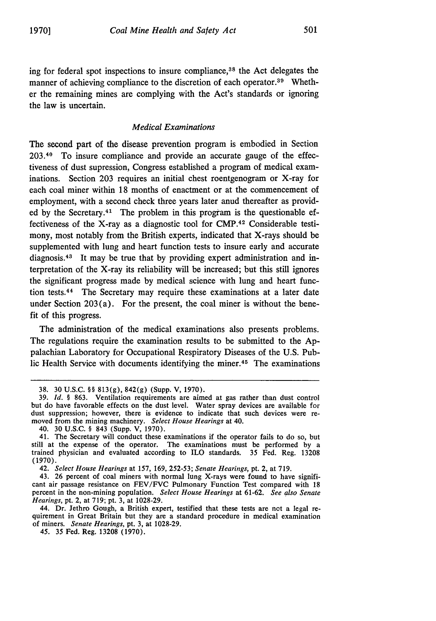ing for federal spot inspections to insure compliance,38 the Act delegates the manner of achieving compliance to the discretion of each operator.<sup>39</sup> Whether the remaining mines are complying with the Act's standards or ignoring the law is uncertain.

#### *Medical Examinations*

The second part of the disease prevention program is embodied in Section 203.40 To insure compliance and provide an accurate gauge of the effectiveness of dust supression, Congress established a program of medical examinations. Section 203 requires an initial chest roentgenogram or X-ray for each coal miner within 18 months of enactment or at the commencement of employment, with a second check three years later anud thereafter as provided by the Secretary.<sup>41</sup> The problem in this program is the questionable effectiveness of the X-ray as a diagnostic tool for CMP.42 Considerable testimony, most notably from the British experts, indicated that X-rays should be supplemented with lung and heart function tests to insure early and accurate diagnosis. 43 It may be true that by providing expert administration and interpretation of the X-ray its reliability will be increased; but this still ignores the significant progress made by medical science with lung and heart function tests. 44 The Secretary may require these examinations at a later date under Section  $203(a)$ . For the present, the coal miner is without the benefit of this progress.

The administration of the medical examinations also presents problems. The regulations require the examination results to be submitted to the **Ap**palachian Laboratory for Occupational Respiratory Diseases of the **U.S.** Public Health Service with documents identifying the miner.<sup>45</sup> The examinations

44. Dr. Jethro Gough, a British expert, testified that these tests are not a legal requirement in Great Britain but they are a standard procedure in medical examination of miners. *Senate Hearings,* pt. 3, at 1028-29.

*45.* 35 Fed. Reg. 13208 (1970).

**<sup>38. 30</sup> U.S.C.** §§ **813(g),** 842(g) (Supp. V, **1970).**

**<sup>39.</sup>** *Id.* § **863.** Ventilation requirements are aimed at gas rather than dust control but do have favorable effects on the dust level. Water spray devices are available for dust suppression; however, there is evidence to indicate that such devices were removed from the mining machinery. *Select House Hearings* at 40.

<sup>40. 30</sup> U.S.C. § 843 (Supp. V, 1970).

<sup>41.</sup> The Secretary will conduct these examinations if the operator fails to do so, but still at the expense of the operator. The examinations must be performed **by** a trained physician and evaluated according to ILO standards. 35 Fed. Reg. 13208 (1970).

<sup>42.</sup> *Select House Hearings* at 157, 169, 252-53; *Senate Hearings,* pt. 2, at 719.

<sup>43. 26</sup> percent of coal miners with normal lung X-rays were found to have significant air passage resistance on FEV/FVC Pulmonary Function Test compared with 18 percent in the non-mining population. *Select House Hearings* at 61-62. *See also Senate Hearings,* pt. 2, at 719; pt. 3, at 1028-29.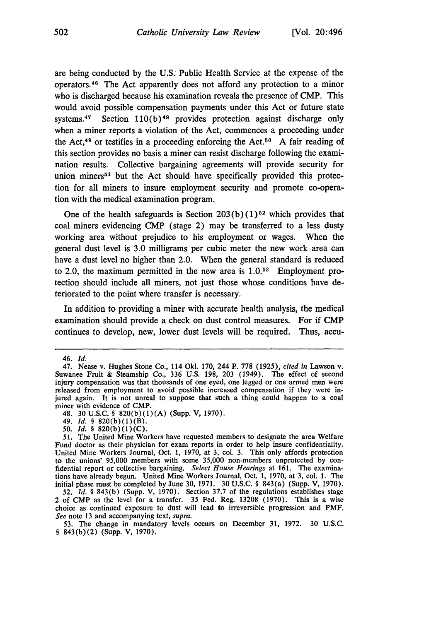are being conducted by the U.S. Public Health Service at the expense of the operators. 46 The Act apparently does not afford any protection to a minor who is discharged because his examination reveals the presence of CMP. This would avoid possible compensation payments under this Act or future state systems.<sup>47</sup> Section 110(b)<sup>48</sup> provides protection against discharge only when a miner reports a violation of the Act, commences a proceeding under the Act,<sup>49</sup> or testifies in a proceeding enforcing the Act.<sup>50</sup> A fair reading of this section provides no basis a miner can resist discharge following the examination results. Collective bargaining agreements will provide security for union miners<sup> $51$ </sup> but the Act should have specifically provided this protection for all miners to insure employment security and promote co-operation with the medical examination program.

One of the health safeguards is Section  $203(b)(1)^{52}$  which provides that coal miners evidencing CMP (stage 2) may be transferred to a less dusty working area without prejudice to his employment or wages. When the general dust level is 3.0 milligrams per cubic meter the new work area can have a dust level no higher than 2.0. When the general standard is reduced to 2.0, the maximum permitted in the new area is  $1.0^{53}$  Employment protection should include all miners, not just those whose conditions have deteriorated to the point where transfer is necessary.

In addition to providing a miner with accurate health analysis, the medical examination should provide a check on dust control measures. For **if** CMP continues to develop, new, lower dust levels will be required. Thus, accu-

<sup>46.</sup> Id.

<sup>47.</sup> Nease v. Hughes Stone Co., 114 OkI. 170, 244 P. 778 (1925), *cited in* Lawson v. Suwanee Fruit & Steamship Co., 336 U.S. 198, 203 (1949). The effect of second injury compensation was that thousands of one eyed, one legged or one armed men were released from employment to avoid possible increased compensation if they were injured again. It is not unreal to suppose that such a thing could happen to a coal miner with evidence of CMP.

<sup>48.</sup> **30 U.S.C.** § 820(b)(1)(A) (Supp. V, **1970).**

<sup>49.</sup> **Id.** § 820(b)(1)(B).

**<sup>50.</sup>** Id. § 820(b)(1)(C).

**<sup>51.</sup>** The United Mine Workers have requested members to designate the area Welfare Fund doctor as their physician for exam reports in order to help insure confidentiality. United Mine Workers Journal, Oct. **1,** 1970, at 3, col. **3.** This only affords protection to the unions' 95,000 members with some 35,000 non-members unprotected **by** confidential report or collective bargaining. *Select House Hearings* at **161.** The examinations have already begun. United Mine Workers Journal, Oct. 1, 1970, at **3,** col. **1.** The initial phase must be completed **by** June 30, **1971.** 30 U.S.C. § 843(a) (Supp. V, 1970).

**<sup>52.</sup>** *Id.* § **843(b)** (Supp. V, 1970). Section **37.7** of the regulations establishes stage 2 of CMP as the level for a transfer. 35 Fed. Reg. **13208** (1970). This is a wise choice as continued exposure to dust will lead to irreversible progression and PMF. *See* note 13 and accompanying text, *supra.*

**<sup>53.</sup>** The change in mandatory levels occurs on December **31, 1972.** 30 U.S.C. § 843(b)(2) (Supp. V, 1970).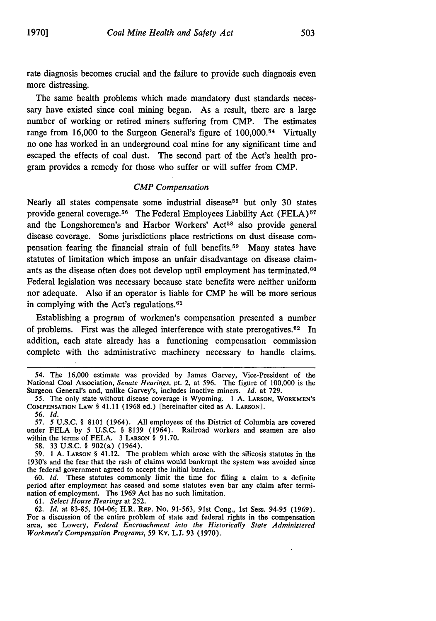The same health problems which made mandatory dust standards necessary have existed since coal mining began. As a result, there are a large number of working or retired miners suffering from CMP. The estimates range from 16,000 to the Surgeon General's figure of 100,000.<sup>54</sup> Virtually no one has worked in an underground coal mine for any significant time and escaped the effects of coal dust. The second part of the Act's health program provides a remedy for those who suffer or will suffer from CMP.

#### *CMP Compensation*

Nearly all states compensate some industrial disease<sup>55</sup> but only 30 states provide general coverage.<sup>56</sup> The Federal Employees Liability Act (FELA)<sup>57</sup> and the Longshoremen's and Harbor Workers' Act<sup>58</sup> also provide general disease coverage. Some jurisdictions place restrictions on dust disease compensation fearing the financial strain of full benefits.59 Many states have statutes of limitation which impose an unfair disadvantage on disease claimants as the disease often does not develop until employment has terminated.<sup>60</sup> Federal legislation was necessary because state benefits were neither uniform nor adequate. Also if an operator is liable for CMP he will be more serious in complying with the Act's regulations.<sup>61</sup>

Establishing a program of workmen's compensation presented a number of problems. First was the alleged interference with state prerogatives.<sup>62</sup> In addition, each state already has a functioning compensation commission complete with the administrative machinery necessary to handle claims.

58. 33 U.S.C. § 902(a) (1964).

59. 1 A. **LARSON** § 41.12. The problem which arose with the silicosis statutes in the 1930's and the fear that the rash of claims would bankrupt the system was avoided since the federal government agreed to accept the initial burden.

60. *Id.* These statutes commonly limit the time for filing a claim to a definite period after employment has ceased and some statutes even bar any claim after termination of employment. The 1969 Act has no such limitation.

61. *Select House Hearings* at 252.

62. *Id.* at 83-85, 104-06; H.R. REP. No. 91-563, 91st Cong., 1st Sess. 94-95 (1969). For a discussion of the entire problem of state and federal rights in the compensation area, see Lowery, *Federal Encroachment into the Historically State Administered Workmen's Compensation Programs,* 59 **Ky. L.J. 93 (1970).**

<sup>54.</sup> The 16,000 estimate was provided by James Garvey, Vice-President of the National Coal Association, *Senate Hearings,* pt. 2, at 596. The figure of 100,000 is the Surgeon General's and, unlike Garvey's, includes inactive miners. *Id.* at **729.**

<sup>55.</sup> The only state without disease coverage is Wyoming. 1 **A.** LARSON, WORKMEN'S **COMPENSATION** LAW § 41.11 (1968 ed.) [hereinafter cited as A. **LARSON].** *56. Id.*

<sup>57. 5</sup> U.S.C. § 8101 (1964). All employees of the District of Columbia are covered under FELA by 5 U.S.C. § 8139 (1964). Railroad workers and seamen are also within the terms of FELA. 3 **LARSON** § 91.70.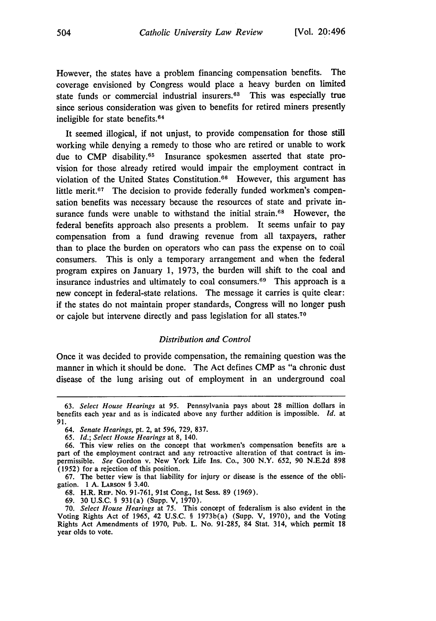However, the states have a problem financing compensation benefits. The coverage envisioned by Congress would place a heavy burden on limited state funds or commercial industrial insurers.<sup>63</sup> This was especially true since serious consideration was given to benefits for retired miners presently ineligible for state benefits. $64$ 

It seemed illogical, if not unjust, to provide compensation for those still working while denying a remedy to those who are retired or unable to work due to CMP disability.<sup>65</sup> Insurance spokesmen asserted that state provision for those already retired would impair the employment contract in violation of the United States Constitution. $66$  However, this argument has little merit.<sup>67</sup> The decision to provide federally funded workmen's compensation benefits was necessary because the resources of state and private insurance funds were unable to withstand the initial strain.<sup>68</sup> However, the federal benefits approach also presents a problem. It seems unfair to pay compensation from a fund drawing revenue from all taxpayers, rather than to place the burden on operators who can pass the expense on to coal consumers. This is only a temporary arrangement and when the federal program expires on January 1, 1973, the burden will shift to the coal and insurance industries and ultimately to coal consumers.<sup>69</sup> This approach is a new concept in federal-state relations. The message it carries is quite clear: if the states do not maintain proper standards, Congress will no longer push or cajole but intervene directly and pass legislation for all states.<sup>70</sup>

### *Distribution and Control*

Once it was decided to provide compensation, the remaining question was the manner in which it should be done. The Act defines CMP as "a chronic dust disease of the lung arising out of employment in an underground coal

**68.** H.R. **REP.** No. **91-761,** 91st Cong., **1st** Sess. **89 (1969).**

**69. 30 U.S.C.** § 931(a) (Supp. V, **1970).**

**70.** *Select House Hearings* at **75.** This concept of federalism is also evident in the Voting Rights Act of 1965, 42 **U.S.C.** § 1973b(a) (Supp. V, **1970),** and the Voting Rights Act Amendments of **1970,** Pub. L. No. **91-285,** 84 Stat. 314, which permit **18** year olds to vote.

<sup>63.</sup> *Select House Hearings* at 95. Pennsylvania pays about 28 million dollars in benefits each year and as is indicated above any further addition is impossible. *id.* at 91.

*<sup>64.</sup> Senate Hearings,* pt. 2, at 596, 729, 837.

*<sup>65.</sup> Id.; Select House Hearings* at 8, 140.

<sup>66.</sup> This view relies on the concept that workmen's compensation benefits are a part of the employment contract and any retroactive alteration of that contract is impermissible. *See* Gordon v. New York Life Ins. Co., **300** N.Y. 652, 90 N.E.2d **898** (1952) for a rejection of this position.

**<sup>67.</sup>** The better view is that liability for injury or disease is the essence of the obligation. **1 A. LARSON** § 3.40.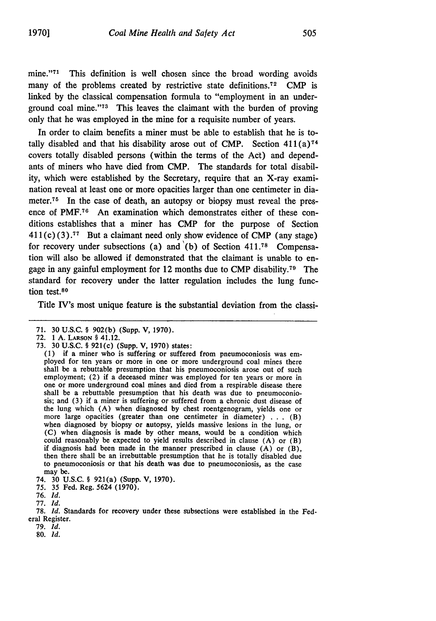In order to claim benefits a miner must be able to establish that he is totally disabled and that his disability arose out of CMP. Section  $411(a)$ <sup>74</sup> covers totally disabled persons (within the terms of the Act) and dependants of miners who have died from CMP. The standards for total disability, which were established by the Secretary, require that an X-ray examination reveal at least one or more opacities larger than one centimeter in diameter.<sup>75</sup> In the case of death, an autopsy or biopsy must reveal the presence of PMF.76 An examination which demonstrates either of these conditions establishes that a miner has CMP for the purpose of Section **411** (c) **(3).77** But a claimant need only show evidence of CMP (any stage) for recovery under subsections (a) and  $(b)$  of Section 411.<sup>78</sup> Compensation will also be allowed if demonstrated that the claimant is unable to engage in any gainful employment for 12 months due to CMP disability. 79 The standard for recovery under the latter regulation includes the lung function test.80

Title IV's most unique feature is the substantial deviation from the classi-

79. *Id.*

80. *Id.*

<sup>71. 30</sup> U.S.C. § 902(b) (Supp. V, 1970).

<sup>72. 1</sup> A. **LARSON** § 41.12.

<sup>73. 30</sup> U.S.C. § 921(c) (Supp. V, 1970) states:

<sup>(1)</sup> if a miner who is suffering or suffered from pneumoconiosis was em- ployed for ten years or more in one or more underground coal mines there shall be a rebuttable presumption that his pneumoconiosis arose out of such employment; (2) if a deceased miner was employed for ten years or more in one or more underground coal mines and died from a respirable disease there shall be a rebuttable presumption that his death was due to pneumoconiosis; and (3) if a miner is suffering or suffered from a chronic dust disease of the lung which (A) when diagnosed by chest roentgenogram, yields one or more large opacities (greater than one centimeter in diameter) **. . .** (B) when diagnosed by biopsy or autopsy, yields massive lesions in the lung, or (C) when diagnosis is made by other means, would be a condition which could reasonably be expected to yield results described in clause (A) or (B) if diagnosis had been made in the manner prescribed in clause  $(A)$  or  $(B)$ , then there shall be an irrebuttable presumption that he is totally disabled due to pneumoconiosis or that his death was due to pneumoconiosis, as the case may be.

<sup>74. 30</sup> U.S.C. § 921(a) (Supp. V, 1970).

<sup>75. 35</sup> Fed. Reg. 5624 (1970).

<sup>76.</sup> *Id.*

<sup>77.</sup> *Id.*

<sup>78.</sup> *Id.* Standards for recovery under these subsections were established in the Federal Register.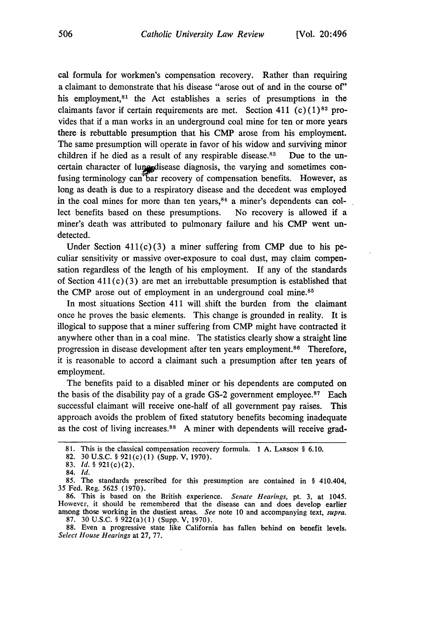cal formula for workmen's compensation recovery. Rather than requiring a claimant to demonstrate that his disease "arose out of and in the course of" his employment,<sup>81</sup> the Act establishes a series of presumptions in the claimants favor if certain requirements are met. Section 411 (c) **(1)82** provides that if a man works in an underground coal mine for ten or more years there is rebuttable presumption that his CMP arose from his employment. The same presumption will operate in favor of his widow and surviving minor children if he died as a result of any respirable disease.<sup>83</sup> Due to the uncertain character of lung disease diagnosis, the varying and sometimes confusing terminology can'bar recovery of compensation benefits. However, as long as death is due to a respiratory disease and the decedent was employed in the coal mines for more than ten years,  $84$  a miner's dependents can collect benefits based on these presumptions. No recovery is allowed if a miner's death was attributed to pulmonary failure and his CMP went undetected.

Under Section  $411(c)(3)$  a miner suffering from CMP due to his peculiar sensitivity or massive over-exposure to coal dust, may claim compensation regardless of the length of his employment. If any of the standards of Section  $411(c)(3)$  are met an irrebuttable presumption is established that the CMP arose out of employment in an underground coal mine. $85$ 

In most situations Section 411 will shift the burden from the claimant once he proves the basic elements. This change is grounded in reality. It is illogical to suppose that a miner suffering from CMP might have contracted it anywhere other than in a coal mine. The statistics clearly show a straight line progression in disease development after ten years employment.<sup>86</sup> Therefore, it is reasonable to accord a claimant such a presumption after ten years of employment.

The benefits paid to a disabled miner or his dependents are computed on the basis of the disability pay of a grade GS-2 government employee.<sup>87</sup> Each successful claimant will receive one-half of all government pay raises. This approach avoids the problem of fixed statutory benefits becoming inadequate as the cost of living increases.<sup>88</sup> A miner with dependents will receive grad-

86. This is based on the British experience. *Senate Hearings,* pt. 3, at 1045. However, it should be remembered that the disease can and does develop earlier among those working in the dustiest areas. *See* note **10** and accompanying text, *supra.* 87. 30 U.S.C. § 922(a)(1) (Supp. V, 1970).

88. Even a progressive state like California has fallen behind on benefit levels. *Select House Hearings* at 27, 77.

<sup>81.</sup> This is the classical compensation recovery formula. 1 A. **LARSON** § 6.10.

<sup>82. 30</sup>U.S.C. § 921(c)(1) (Supp. V, 1970).

<sup>83.</sup> **id.** § 921(c)(2).

<sup>84.</sup> **Id.**

<sup>85.</sup> The standards prescribed for this presumption are contained in § 410.404, 35 Fed. Reg. 5625 (1970).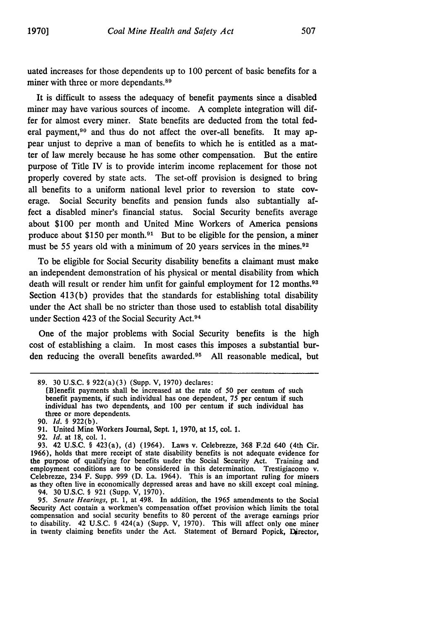uated increases for those dependents up to 100 percent of basic benefits for a miner with three or more dependants.<sup>89</sup>

It is difficult to assess the adequacy of benefit payments since a disabled miner may have various sources of income. A complete integration will differ for almost every miner. State benefits are deducted from the total federal payment.<sup>90</sup> and thus do not affect the over-all benefits. It may appear unjust to deprive a man of benefits to which he is entitled as a matter of law merely because he has some other compensation. But the entire purpose of Title IV is to provide interim income replacement for those not properly covered by state acts. The set-off provision is designed to bring all benefits to a uniform national level prior to reversion to state coverage. Social Security benefits and pension funds also subtantially affect a disabled miner's financial status. Social Security benefits average about \$100 per month and United Mine Workers of America pensions produce about \$150 per month.<sup>91</sup> But to be eligible for the pension, a miner must be 55 years old with a minimum of 20 years services in the mines.<sup>92</sup>

To be eligible for Social Security disability benefits a claimant must make an independent demonstration of his physical or mental disability from which death will result or render him unfit for gainful employment for 12 months.<sup>93</sup> Section 413(b) provides that the standards for establishing total disability under the Act shall be no stricter than those used to establish total disability under Section 423 of the Social Security Act.<sup>94</sup>

One of the major problems with Social Security benefits is the high cost of establishing a claim. In most cases this imposes a substantial burden reducing the overall benefits awarded.<sup>95</sup> All reasonable medical, but

92. *Id.* at 18, col. 1.

95. *Senate Hearings,* pt. 1, at 498. In addition, the 1965 amendments to the Social Security Act contain a workmen's compensation offset provision which limits the total compensation and social security benefits to **80** percent of the average earnings prior to disability. 42 U.S.C. § 424(a) (Supp. V, 1970). This will affect only one miner in twenty claiming benefits under the Act. Statement of Bernard Popick, Director,

<sup>89. 30</sup> U.S.C. § 922(a)(3) (Supp. V, 1970) declares:

<sup>[</sup>Blenefit payments shall be increased at the rate of 50 per centum of such benefit payments, if such individual has one dependent, 75 per centum if such individual has two dependents, and 100 per centum if such individual has three or more dependents.

<sup>90.</sup> **Id.** § 922(b).

<sup>91.</sup> United Mine Workers Journal, Sept. 1, 1970, at 15, col. 1.

<sup>93. 42</sup> U.S.C. § 423(a), (d) (1964). Laws v. Celebrezze, 368 F.2d 640 (4th Cir. 1966), holds that mere receipt of state disability benefits is not adequate evidence for the purpose of qualifying for benefits under the Social Security Act. Training and employment conditions are to be considered in this determination. Trestigiacomo v. Celebrezze, 234 F. Supp. 999 (D. La. 1964). This is an important ruling for miners as they often live in economically depressed areas and have no skill except coal mining. 94. 30 U.S.C. § 921 (Supp. V, 1970).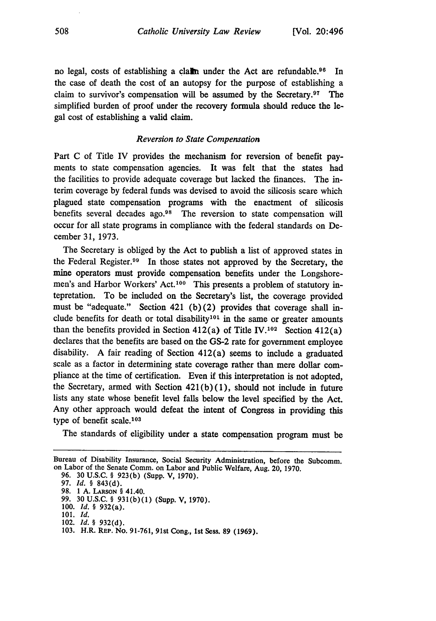no legal, costs of establishing a claim under the Act are refundable.<sup>96</sup> In the case of death the cost of an autopsy for the purpose of establishing a claim to survivor's compensation will be assumed by the Secretary.<sup>97</sup> The simplified burden of proof under the recovery formula should reduce the legal cost of establishing a valid claim.

#### *Reversion to State Compensation*

Part C of Title IV provides the mechanism for reversion of benefit payments to state compensation agencies. It was felt that the states had the facilities to provide adequate coverage but lacked the finances. The interim coverage by federal funds was devised to avoid the silicosis scare which plagued state compensation programs with the enactment of silicosis benefits several decades ago.98 The reversion to state compensation will occur for all state programs in compliance with the federal standards on December 31, 1973.

The Secretary is obliged by the Act to publish a list of approved states in the Federal Register.09 In those states not approved by the Secretary, the mine operators must provide compensation benefits under the Longshoremen's and Harbor Workers' Act.<sup>100</sup> This presents a problem of statutory intepretation. To be included on the Secretary's list, the coverage provided must be "adequate." Section 421 (b)(2) provides that coverage shall include benefits for death or total disability<sup>101</sup> in the same or greater amounts than the benefits provided in Section 412(a) of Title IV.<sup>102</sup> Section 412(a) declares that the benefits are based on the GS-2 rate for government employee disability. A fair reading of Section 412(a) seems to include a graduated scale as a factor in determining state coverage rather than mere dollar compliance at the time of certification. Even if this interpretation is not adopted, the Secretary, armed with Section  $421(b)(1)$ , should not include in future lists any state whose benefit level falls below the level specified by the Act. Any other approach would defeat the intent of Congress in providing this type of benefit scale.<sup>103</sup>

The standards of eligibility under a state compensation program must be

- 99. 30 U.S.C. § 931(b)(1) (Supp. **V,** 1970).
- 100. **Id.** § 932(a).
- 101. **Id.** 102. **Id.** § 932(d).
- 103. H.R. REP. No. **91-761,** 91st Cong., 1st Sess. 89 (1969).

Bureau of Disability Insurance, Social Security Administration, before the Subcomm. on Labor of the Senate Comm. on Labor and Public Welfare, Aug. 20, 1970.

<sup>96. 30</sup> U.S.C. § 923(b) (Supp. V, 1970).

<sup>97.</sup> **Id.** § 843(d).

<sup>98.</sup> **1 A. LARSON** § 41.40.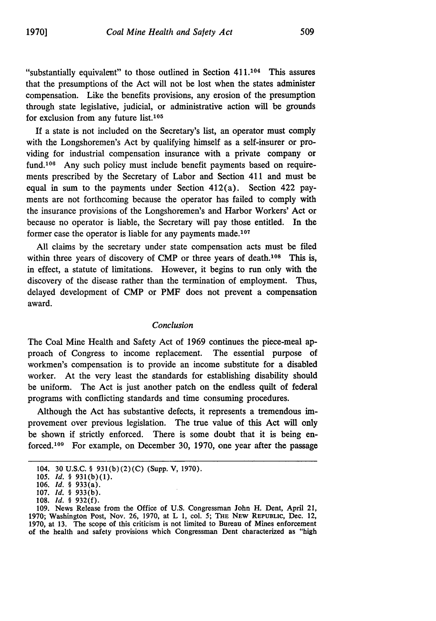"substantially equivalent" to those outlined in Section 411.104 This assures that the presumptions of the Act will not be lost when the states administer compensation. Like the benefits provisions, any erosion of the presumption through state legislative, judicial, or administrative action will be grounds for exclusion from any future list. $105$ 

If a state is not included on the Secretary's list, an operator must comply with the Longshoremen's Act by qualifying himself as a self-insurer or providing for industrial compensation insurance with a private company or fund.<sup>106</sup> Any such policy must include benefit payments based on requirements prescribed by the Secretary of Labor and Section 411 and must be equal in sum to the payments under Section 412(a). Section 422 payments are not forthcoming because the operator has failed to comply with the insurance provisions of the Longshoremen's and Harbor Workers' Act or because no operator is liable, the Secretary will pay those entitled. In the former case the operator is liable for any payments made. $107$ 

All claims by the secretary under state compensation acts must be filed within three years of discovery of CMP or three years of death.<sup>108</sup> This is, in effect, a statute of limitations. However, it begins to run only with the discovery of the disease rather than the termination of employment. Thus, delayed development of CMP or PMF does not prevent a compensation award.

#### *Conclusion*

The Coal Mine Health and Safety Act of 1969 continues the piece-meal approach of Congress to income replacement. The essential purpose of workmen's compensation is to provide an income substitute for a disabled worker. At the very least the standards for establishing disability should be uniform. The Act is just another patch on the endless quilt of federal programs with conflicting standards and time consuming procedures.

Although the Act has substantive defects, it represents a tremendous improvement over previous legislation. The true value of this Act will only be shown if strictly enforced. There is some doubt that it is being enforced.<sup>109</sup> For example, on December 30, 1970, one year after the passage

<sup>104. 30</sup> U.S.C. § 931(b)(2)(C) (Supp. V, 1970).

<sup>105.</sup> **Id.** § **931(b)(1).**

**<sup>106.</sup> Id.** § 933(a).

<sup>107.</sup> *Id.* § 933(b)

**<sup>108.</sup> Id.** § 932(f).

<sup>109.</sup> News Release from the Office of U.S. Congressman John H. Dent, April 21, 1970; Washington Post, Nov. 26, 1970, at L 1, col. 5; THE NEW REPUBLIC, Dec. 12, 1970, at 13. The scope of this criticism is not limited to Bureau of Mines enforcement of the health and safety provisions which Congressman Dent characterized as "high